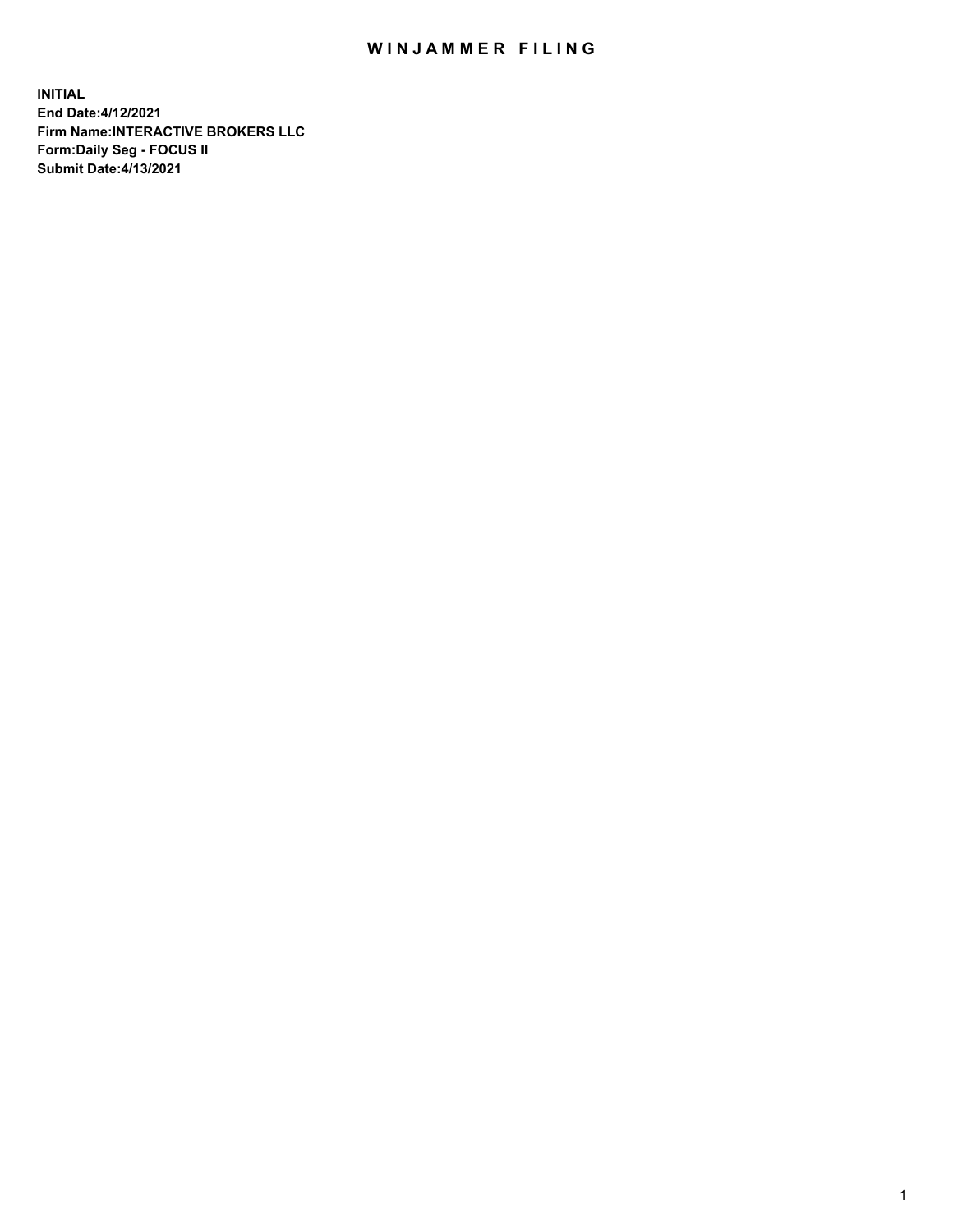## WIN JAMMER FILING

**INITIAL End Date:4/12/2021 Firm Name:INTERACTIVE BROKERS LLC Form:Daily Seg - FOCUS II Submit Date:4/13/2021**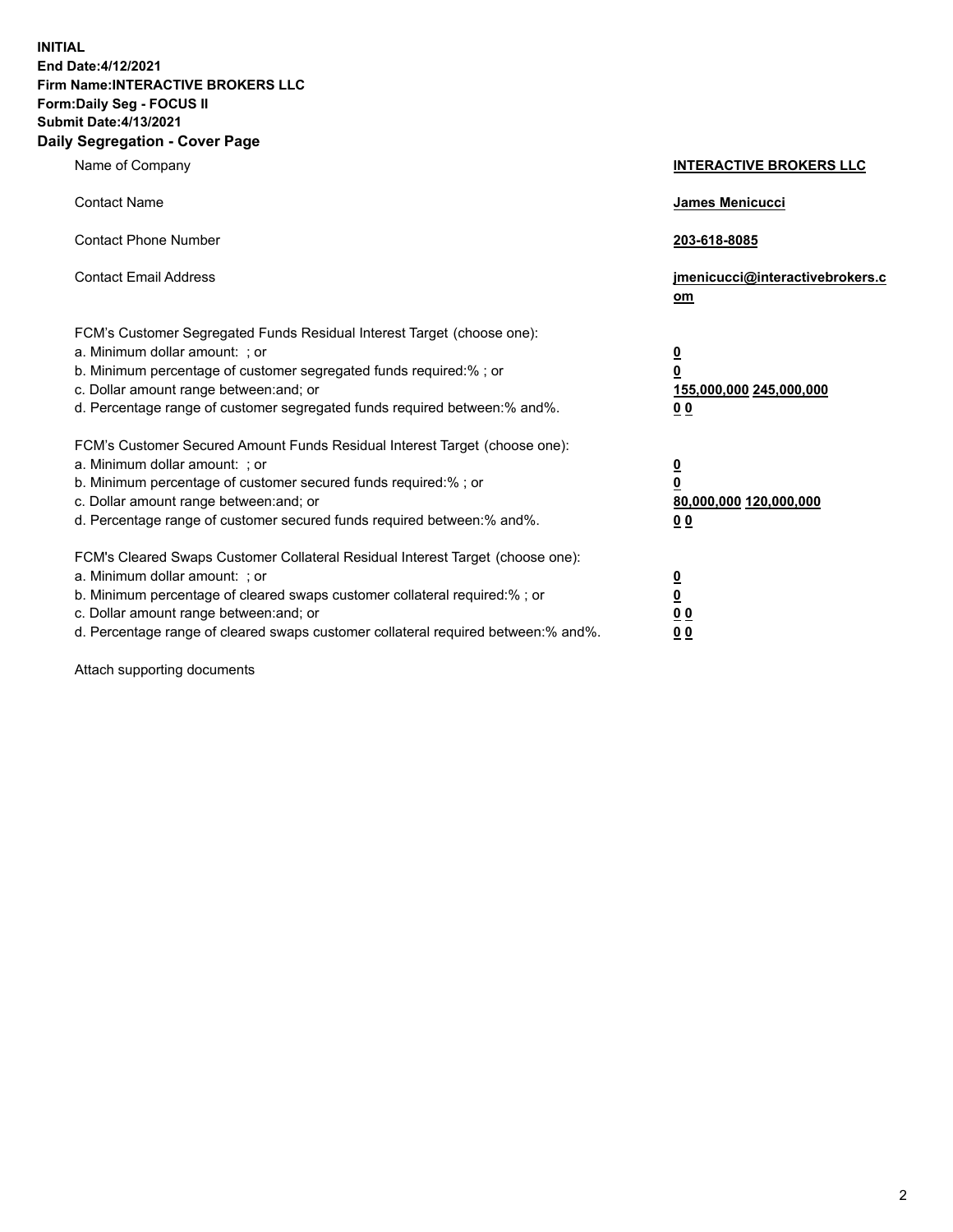**INITIAL End Date:4/12/2021 Firm Name:INTERACTIVE BROKERS LLC Form:Daily Seg - FOCUS II Submit Date:4/13/2021 Daily Segregation - Cover Page**

| Name of Company                                                                                                                                                                                                                                                                                                               | <b>INTERACTIVE BROKERS LLC</b>                                                            |  |
|-------------------------------------------------------------------------------------------------------------------------------------------------------------------------------------------------------------------------------------------------------------------------------------------------------------------------------|-------------------------------------------------------------------------------------------|--|
| <b>Contact Name</b>                                                                                                                                                                                                                                                                                                           | James Menicucci                                                                           |  |
| <b>Contact Phone Number</b>                                                                                                                                                                                                                                                                                                   | 203-618-8085                                                                              |  |
| <b>Contact Email Address</b>                                                                                                                                                                                                                                                                                                  | jmenicucci@interactivebrokers.c<br><u>om</u>                                              |  |
| FCM's Customer Segregated Funds Residual Interest Target (choose one):<br>a. Minimum dollar amount: ; or<br>b. Minimum percentage of customer segregated funds required:% ; or<br>c. Dollar amount range between: and; or<br>d. Percentage range of customer segregated funds required between: % and %.                      | $\overline{\mathbf{0}}$<br>0<br>155,000,000 245,000,000<br>0 <sub>0</sub>                 |  |
| FCM's Customer Secured Amount Funds Residual Interest Target (choose one):<br>a. Minimum dollar amount: ; or<br>b. Minimum percentage of customer secured funds required:%; or<br>c. Dollar amount range between: and; or<br>d. Percentage range of customer secured funds required between:% and%.                           | <u>0</u><br>$\overline{\mathbf{0}}$<br>80,000,000 120,000,000<br>00                       |  |
| FCM's Cleared Swaps Customer Collateral Residual Interest Target (choose one):<br>a. Minimum dollar amount: ; or<br>b. Minimum percentage of cleared swaps customer collateral required:%; or<br>c. Dollar amount range between: and; or<br>d. Percentage range of cleared swaps customer collateral required between:% and%. | <u>0</u><br>$\underline{\mathbf{0}}$<br>$\underline{0}$ $\underline{0}$<br>0 <sub>0</sub> |  |

Attach supporting documents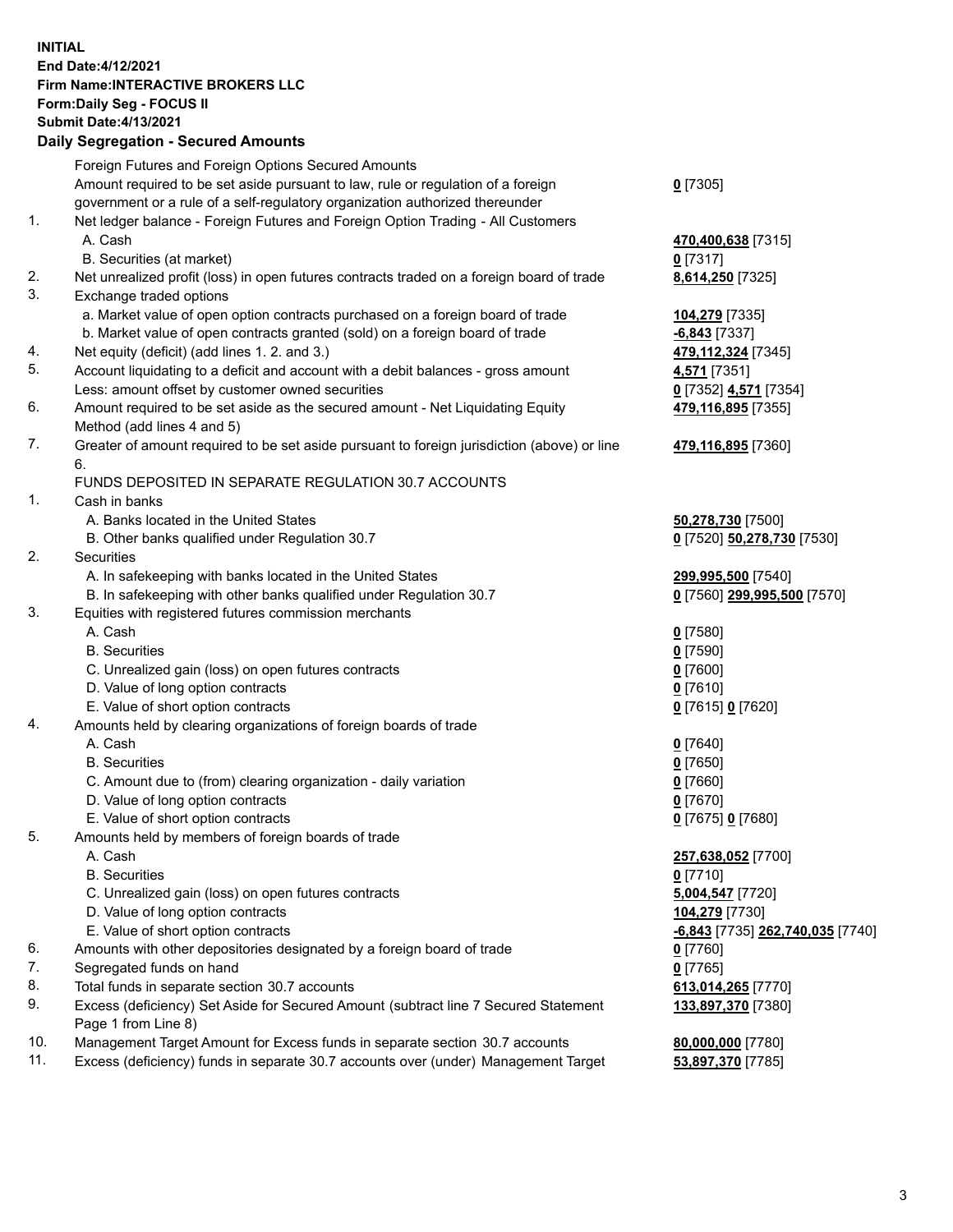**INITIAL End Date:4/12/2021 Firm Name:INTERACTIVE BROKERS LLC Form:Daily Seg - FOCUS II Submit Date:4/13/2021 Daily Segregation - Secured Amounts**

## Foreign Futures and Foreign Options Secured Amounts Amount required to be set aside pursuant to law, rule or regulation of a foreign government or a rule of a self-regulatory organization authorized thereunder **0** [7305] 1. Net ledger balance - Foreign Futures and Foreign Option Trading - All Customers A. Cash **470,400,638** [7315] B. Securities (at market) **0** [7317] 2. Net unrealized profit (loss) in open futures contracts traded on a foreign board of trade **8,614,250** [7325] 3. Exchange traded options a. Market value of open option contracts purchased on a foreign board of trade **104,279** [7335] b. Market value of open contracts granted (sold) on a foreign board of trade **-6,843** [7337] 4. Net equity (deficit) (add lines 1. 2. and 3.) **479,112,324** [7345] 5. Account liquidating to a deficit and account with a debit balances - gross amount **4,571** [7351] Less: amount offset by customer owned securities **0** [7352] **4,571** [7354] 6. Amount required to be set aside as the secured amount - Net Liquidating Equity Method (add lines 4 and 5) **479,116,895** [7355] 7. Greater of amount required to be set aside pursuant to foreign jurisdiction (above) or line 6. **479,116,895** [7360] FUNDS DEPOSITED IN SEPARATE REGULATION 30.7 ACCOUNTS 1. Cash in banks A. Banks located in the United States **50,278,730** [7500] B. Other banks qualified under Regulation 30.7 **0** [7520] **50,278,730** [7530] 2. Securities A. In safekeeping with banks located in the United States **299,995,500** [7540] B. In safekeeping with other banks qualified under Regulation 30.7 **0** [7560] **299,995,500** [7570] 3. Equities with registered futures commission merchants A. Cash **0** [7580] B. Securities **0** [7590] C. Unrealized gain (loss) on open futures contracts **0** [7600] D. Value of long option contracts **0** [7610] E. Value of short option contracts **0** [7615] **0** [7620] 4. Amounts held by clearing organizations of foreign boards of trade A. Cash **0** [7640] B. Securities **0** [7650] C. Amount due to (from) clearing organization - daily variation **0** [7660] D. Value of long option contracts **0** [7670] E. Value of short option contracts **0** [7675] **0** [7680] 5. Amounts held by members of foreign boards of trade A. Cash **257,638,052** [7700] B. Securities **0** [7710] C. Unrealized gain (loss) on open futures contracts **5,004,547** [7720] D. Value of long option contracts **104,279** [7730] E. Value of short option contracts **-6,843** [7735] **262,740,035** [7740] 6. Amounts with other depositories designated by a foreign board of trade **0** [7760] 7. Segregated funds on hand **0** [7765] 8. Total funds in separate section 30.7 accounts **613,014,265** [7770] 9. Excess (deficiency) Set Aside for Secured Amount (subtract line 7 Secured Statement Page 1 from Line 8) **133,897,370** [7380] 10. Management Target Amount for Excess funds in separate section 30.7 accounts **80,000,000** [7780] 11. Excess (deficiency) funds in separate 30.7 accounts over (under) Management Target **53,897,370** [7785]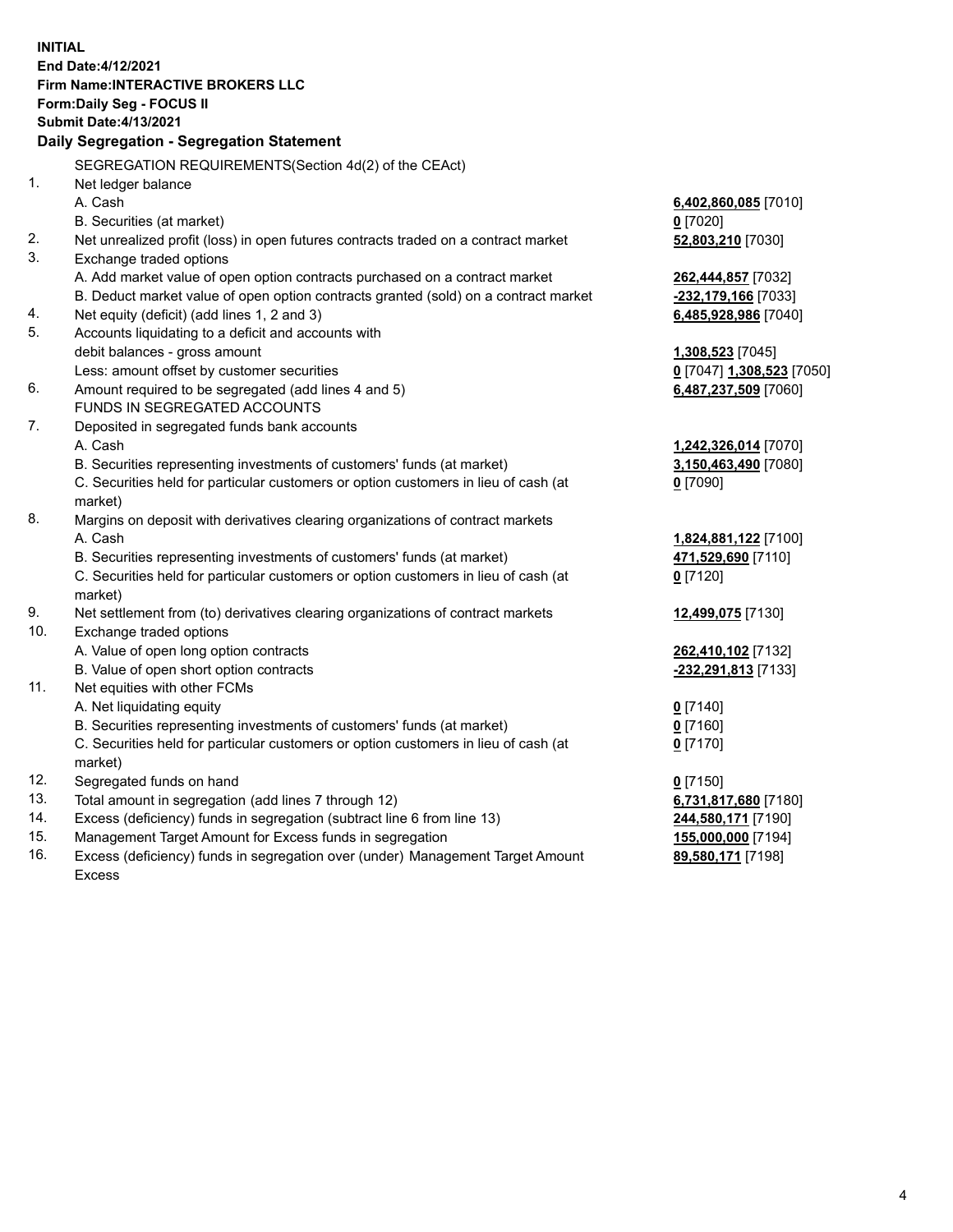**INITIAL End Date:4/12/2021 Firm Name:INTERACTIVE BROKERS LLC Form:Daily Seg - FOCUS II Submit Date:4/13/2021 Daily Segregation - Segregation Statement** SEGREGATION REQUIREMENTS(Section 4d(2) of the CEAct) 1. Net ledger balance A. Cash **6,402,860,085** [7010] B. Securities (at market) **0** [7020] 2. Net unrealized profit (loss) in open futures contracts traded on a contract market **52,803,210** [7030] 3. Exchange traded options A. Add market value of open option contracts purchased on a contract market **262,444,857** [7032] B. Deduct market value of open option contracts granted (sold) on a contract market **-232,179,166** [7033] 4. Net equity (deficit) (add lines 1, 2 and 3) **6,485,928,986** [7040] 5. Accounts liquidating to a deficit and accounts with debit balances - gross amount **1,308,523** [7045] Less: amount offset by customer securities **0** [7047] **1,308,523** [7050] 6. Amount required to be segregated (add lines 4 and 5) **6,487,237,509** [7060] FUNDS IN SEGREGATED ACCOUNTS 7. Deposited in segregated funds bank accounts A. Cash **1,242,326,014** [7070] B. Securities representing investments of customers' funds (at market) **3,150,463,490** [7080] C. Securities held for particular customers or option customers in lieu of cash (at market) **0** [7090] 8. Margins on deposit with derivatives clearing organizations of contract markets A. Cash **1,824,881,122** [7100] B. Securities representing investments of customers' funds (at market) **471,529,690** [7110] C. Securities held for particular customers or option customers in lieu of cash (at market) **0** [7120] 9. Net settlement from (to) derivatives clearing organizations of contract markets **12,499,075** [7130] 10. Exchange traded options A. Value of open long option contracts **262,410,102** [7132] B. Value of open short option contracts **-232,291,813** [7133] 11. Net equities with other FCMs A. Net liquidating equity **0** [7140] B. Securities representing investments of customers' funds (at market) **0** [7160] C. Securities held for particular customers or option customers in lieu of cash (at market) **0** [7170] 12. Segregated funds on hand **0** [7150] 13. Total amount in segregation (add lines 7 through 12) **6,731,817,680** [7180] 14. Excess (deficiency) funds in segregation (subtract line 6 from line 13) **244,580,171** [7190] 15. Management Target Amount for Excess funds in segregation **155,000,000** [7194] **89,580,171** [7198]

16. Excess (deficiency) funds in segregation over (under) Management Target Amount Excess